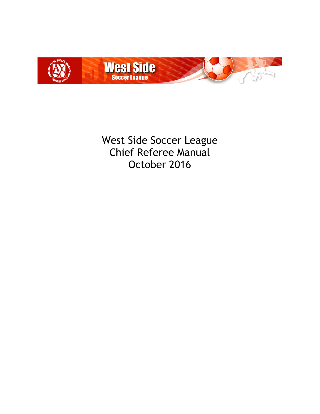

West Side Soccer League Chief Referee Manual October 2016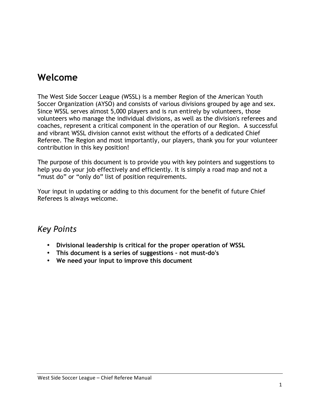### **Welcome**

The West Side Soccer League (WSSL) is a member Region of the American Youth Soccer Organization (AYSO) and consists of various divisions grouped by age and sex. Since WSSL serves almost 5,000 players and is run entirely by volunteers, those volunteers who manage the individual divisions, as well as the division's referees and coaches, represent a critical component in the operation of our Region. A successful and vibrant WSSL division cannot exist without the efforts of a dedicated Chief Referee. The Region and most importantly, our players, thank you for your volunteer contribution in this key position!

The purpose of this document is to provide you with key pointers and suggestions to help you do your job effectively and efficiently. It is simply a road map and not a "must do" or "only do" list of position requirements.

Your input in updating or adding to this document for the benefit of future Chief Referees is always welcome.

- **Divisional leadership is critical for the proper operation of WSSL**
- **This document is a series of suggestions – not must-do's**
- **We need your input to improve this document**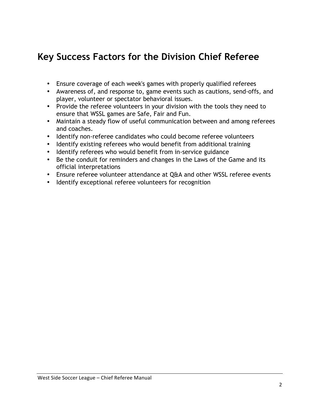# **Key Success Factors for the Division Chief Referee**

- Ensure coverage of each week's games with properly qualified referees
- Awareness of, and response to, game events such as cautions, send-offs, and player, volunteer or spectator behavioral issues.
- Provide the referee volunteers in your division with the tools they need to ensure that WSSL games are Safe, Fair and Fun.
- Maintain a steady flow of useful communication between and among referees and coaches.
- Identify non-referee candidates who could become referee volunteers
- Identify existing referees who would benefit from additional training
- Identify referees who would benefit from in-service guidance
- Be the conduit for reminders and changes in the Laws of the Game and its official interpretations
- Ensure referee volunteer attendance at Q&A and other WSSL referee events
- Identify exceptional referee volunteers for recognition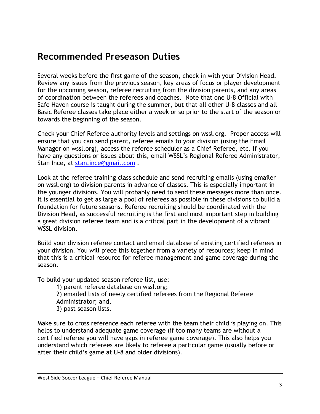# **Recommended Preseason Duties**

Several weeks before the first game of the season, check in with your Division Head. Review any issues from the previous season, key areas of focus or player development for the upcoming season, referee recruiting from the division parents, and any areas of coordination between the referees and coaches. Note that one U-8 Official with Safe Haven course is taught during the summer, but that all other U-8 classes and all Basic Referee classes take place either a week or so prior to the start of the season or towards the beginning of the season.

Check your Chief Referee authority levels and settings on wssl.org. Proper access will ensure that you can send parent, referee emails to your division (using the Email Manager on wssl.org), access the referee scheduler as a Chief Referee, etc. If you have any questions or issues about this, email WSSL's Regional Referee Administrator, Stan Ince, at stan.ince@gmail.com.

Look at the referee training class schedule and send recruiting emails (using emailer on wssl.org) to division parents in advance of classes. This is especially important in the younger divisions. You will probably need to send these messages more than once. It is essential to get as large a pool of referees as possible in these divisions to build a foundation for future seasons. Referee recruiting should be coordinated with the Division Head, as successful recruiting is the first and most important step in building a great division referee team and is a critical part in the development of a vibrant WSSL division.

Build your division referee contact and email database of existing certified referees in your division. You will piece this together from a variety of resources; keep in mind that this is a critical resource for referee management and game coverage during the season.

To build your updated season referee list, use:

1) parent referee database on wssl.org;

2) emailed lists of newly certified referees from the Regional Referee

Administrator; and,

3) past season lists.

Make sure to cross reference each referee with the team their child is playing on. This helps to understand adequate game coverage (if too many teams are without a certified referee you will have gaps in referee game coverage). This also helps you understand which referees are likely to referee a particular game (usually before or after their child's game at U-8 and older divisions).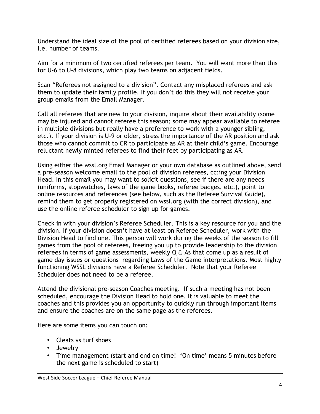Understand the ideal size of the pool of certified referees based on your division size, i.e. number of teams.

Aim for a minimum of two certified referees per team. You will want more than this for U-6 to U-8 divisions, which play two teams on adjacent fields.

Scan "Referees not assigned to a division". Contact any misplaced referees and ask them to update their family profile. If you don't do this they will not receive your group emails from the Email Manager.

Call all referees that are new to your division, inquire about their availability (some may be injured and cannot referee this season; some may appear available to referee in multiple divisions but really have a preference to work with a younger sibling, etc.). If your division is U-9 or older, stress the importance of the AR position and ask those who cannot commit to CR to participate as AR at their child's game. Encourage reluctant newly minted referees to find their feet by participating as AR.

Using either the wssl.org Email Manager or your own database as outlined above, send a pre-season welcome email to the pool of division referees, cc:ing your Division Head. In this email you may want to solicit questions, see if there are any needs (uniforms, stopwatches, laws of the game books, referee badges, etc.), point to online resources and references (see below, such as the Referee Survival Guide), remind them to get properly registered on wssl.org (with the correct division), and use the online referee scheduler to sign up for games.

Check in with your division's Referee Scheduler. This is a key resource for you and the division. If your division doesn't have at least on Referee Scheduler, work with the Division Head to find one. This person will work during the weeks of the season to fill games from the pool of referees, freeing you up to provide leadership to the division referees in terms of game assessments, weekly  $Q \hat{a}$  As that come up as a result of game day issues or questions regarding Laws of the Game interpretations. Most highly functioning WSSL divisions have a Referee Scheduler. Note that your Referee Scheduler does not need to be a referee.

Attend the divisional pre-season Coaches meeting. If such a meeting has not been scheduled, encourage the Division Head to hold one. It is valuable to meet the coaches and this provides you an opportunity to quickly run through important items and ensure the coaches are on the same page as the referees.

Here are some items you can touch on:

- Cleats vs turf shoes
- Jewelry
- Time management (start and end on time! 'On time' means 5 minutes before the next game is scheduled to start)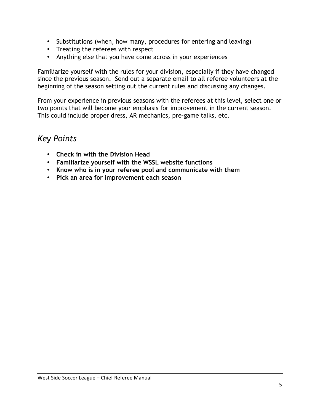- Substitutions (when, how many, procedures for entering and leaving)
- Treating the referees with respect
- Anything else that you have come across in your experiences

Familiarize yourself with the rules for your division, especially if they have changed since the previous season. Send out a separate email to all referee volunteers at the beginning of the season setting out the current rules and discussing any changes.

From your experience in previous seasons with the referees at this level, select one or two points that will become your emphasis for improvement in the current season. This could include proper dress, AR mechanics, pre-game talks, etc.

- **Check in with the Division Head**
- **Familiarize yourself with the WSSL website functions**
- **Know who is in your referee pool and communicate with them**
- **Pick an area for improvement each season**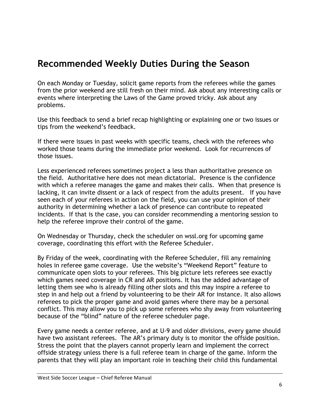# **Recommended Weekly Duties During the Season**

On each Monday or Tuesday, solicit game reports from the referees while the games from the prior weekend are still fresh on their mind. Ask about any interesting calls or events where interpreting the Laws of the Game proved tricky. Ask about any problems.

Use this feedback to send a brief recap highlighting or explaining one or two issues or tips from the weekend's feedback.

If there were issues in past weeks with specific teams, check with the referees who worked those teams during the immediate prior weekend. Look for recurrences of those issues.

Less experienced referees sometimes project a less than authoritative presence on the field. Authoritative here does not mean dictatorial. Presence is the confidence with which a referee manages the game and makes their calls. When that presence is lacking, it can invite dissent or a lack of respect from the adults present. If you have seen each of your referees in action on the field, you can use your opinion of their authority in determining whether a lack of presence can contribute to repeated incidents. If that is the case, you can consider recommending a mentoring session to help the referee improve their control of the game.

On Wednesday or Thursday, check the scheduler on wssl.org for upcoming game coverage, coordinating this effort with the Referee Scheduler.

By Friday of the week, coordinating with the Referee Scheduler, fill any remaining holes in referee game coverage. Use the website's "Weekend Report" feature to communicate open slots to your referees. This big picture lets referees see exactly which games need coverage in CR and AR positions. It has the added advantage of letting them see who is already filling other slots and this may inspire a referee to step in and help out a friend by volunteering to be their AR for instance. It also allows referees to pick the proper game and avoid games where there may be a personal conflict. This may allow you to pick up some referees who shy away from volunteering because of the "blind" nature of the referee scheduler page.

Every game needs a center referee, and at U-9 and older divisions, every game should have two assistant referees. The AR's primary duty is to monitor the offside position. Stress the point that the players cannot properly learn and implement the correct offside strategy unless there is a full referee team in charge of the game. Inform the parents that they will play an important role in teaching their child this fundamental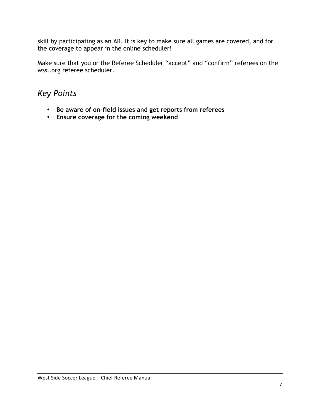skill by participating as an AR. It is key to make sure all games are covered, and for the coverage to appear in the online scheduler!

Make sure that you or the Referee Scheduler "accept" and "confirm" referees on the wssl.org referee scheduler.

- **Be aware of on-field issues and get reports from referees**
- **Ensure coverage for the coming weekend**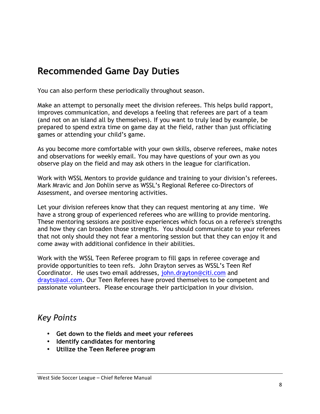# **Recommended Game Day Duties**

You can also perform these periodically throughout season.

Make an attempt to personally meet the division referees. This helps build rapport, improves communication, and develops a feeling that referees are part of a team (and not on an island all by themselves). If you want to truly lead by example, be prepared to spend extra time on game day at the field, rather than just officiating games or attending your child's game.

As you become more comfortable with your own skills, observe referees, make notes and observations for weekly email. You may have questions of your own as you observe play on the field and may ask others in the league for clarification.

Work with WSSL Mentors to provide guidance and training to your division's referees. Mark Mravic and Jon Dohlin serve as WSSL's Regional Referee co-Directors of Assessment, and oversee mentoring activities.

Let your division referees know that they can request mentoring at any time. We have a strong group of experienced referees who are willing to provide mentoring. These mentoring sessions are positive experiences which focus on a referee's strengths and how they can broaden those strengths. You should communicate to your referees that not only should they not fear a mentoring session but that they can enjoy it and come away with additional confidence in their abilities.

Work with the WSSL Teen Referee program to fill gaps in referee coverage and provide opportunities to teen refs. John Drayton serves as WSSL's Teen Ref Coordinator. He uses two email addresses, john.drayton@citi.com and drayts@aol.com. Our Teen Referees have proved themselves to be competent and passionate volunteers. Please encourage their participation in your division.

- **Get down to the fields and meet your referees**
- **Identify candidates for mentoring**
- **Utilize the Teen Referee program**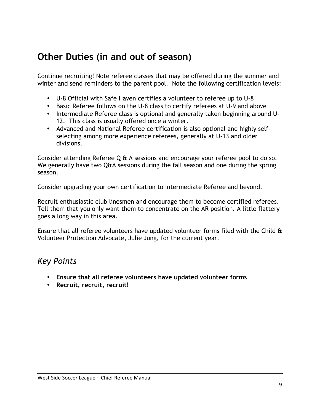# **Other Duties (in and out of season)**

Continue recruiting! Note referee classes that may be offered during the summer and winter and send reminders to the parent pool. Note the following certification levels:

- U-8 Official with Safe Haven certifies a volunteer to referee up to U-8
- Basic Referee follows on the U-8 class to certify referees at U-9 and above
- Intermediate Referee class is optional and generally taken beginning around U-12. This class is usually offered once a winter.
- Advanced and National Referee certification is also optional and highly selfselecting among more experience referees, generally at U-13 and older divisions.

Consider attending Referee Q & A sessions and encourage your referee pool to do so. We generally have two Q&A sessions during the fall season and one during the spring season.

Consider upgrading your own certification to Intermediate Referee and beyond.

Recruit enthusiastic club linesmen and encourage them to become certified referees. Tell them that you only want them to concentrate on the AR position. A little flattery goes a long way in this area.

Ensure that all referee volunteers have updated volunteer forms filed with the Child & Volunteer Protection Advocate, Julie Jung, for the current year.

- **Ensure that all referee volunteers have updated volunteer forms**
- **Recruit, recruit, recruit!**